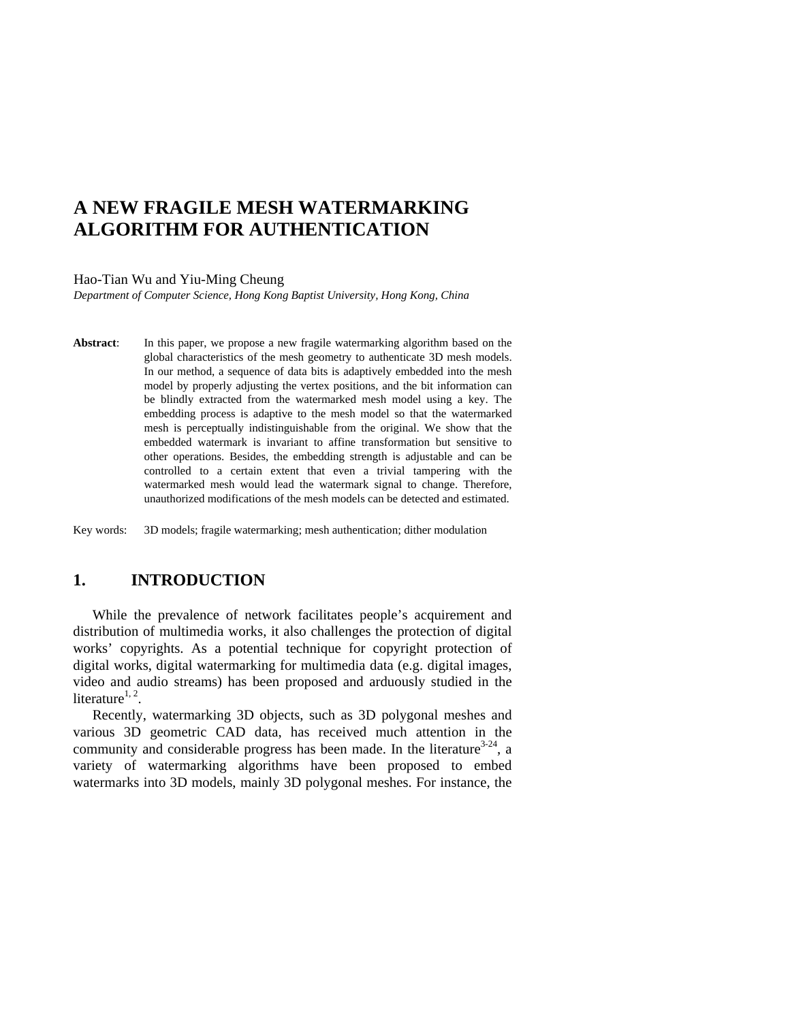# **A NEW FRAGILE MESH WATERMARKING ALGORITHM FOR AUTHENTICATION**

#### Hao-Tian Wu and Yiu-Ming Cheung

*Department of Computer Science, Hong Kong Baptist University, Hong Kong, China* 

**Abstract**: In this paper, we propose a new fragile watermarking algorithm based on the global characteristics of the mesh geometry to authenticate 3D mesh models. In our method, a sequence of data bits is adaptively embedded into the mesh model by properly adjusting the vertex positions, and the bit information can be blindly extracted from the watermarked mesh model using a key. The embedding process is adaptive to the mesh model so that the watermarked mesh is perceptually indistinguishable from the original. We show that the embedded watermark is invariant to affine transformation but sensitive to other operations. Besides, the embedding strength is adjustable and can be controlled to a certain extent that even a trivial tampering with the watermarked mesh would lead the watermark signal to change. Therefore, unauthorized modifications of the mesh models can be detected and estimated.

Key words: 3D models; fragile watermarking; mesh authentication; dither modulation

## **1. INTRODUCTION**

While the prevalence of network facilitates people's acquirement and distribution of multimedia works, it also challenges the protection of digital works' copyrights. As a potential technique for copyright protection of digital works, digital watermarking for multimedia data (e.g. digital images, video and audio streams) has been proposed and arduously studied in the literature $^{1, 2}$ .

Recently, watermarking 3D objects, such as 3D polygonal meshes and various 3D geometric CAD data, has received much attention in the community and considerable progress has been made. In the literature<sup>3-24</sup>, a variety of watermarking algorithms have been proposed to embed watermarks into 3D models, mainly 3D polygonal meshes. For instance, the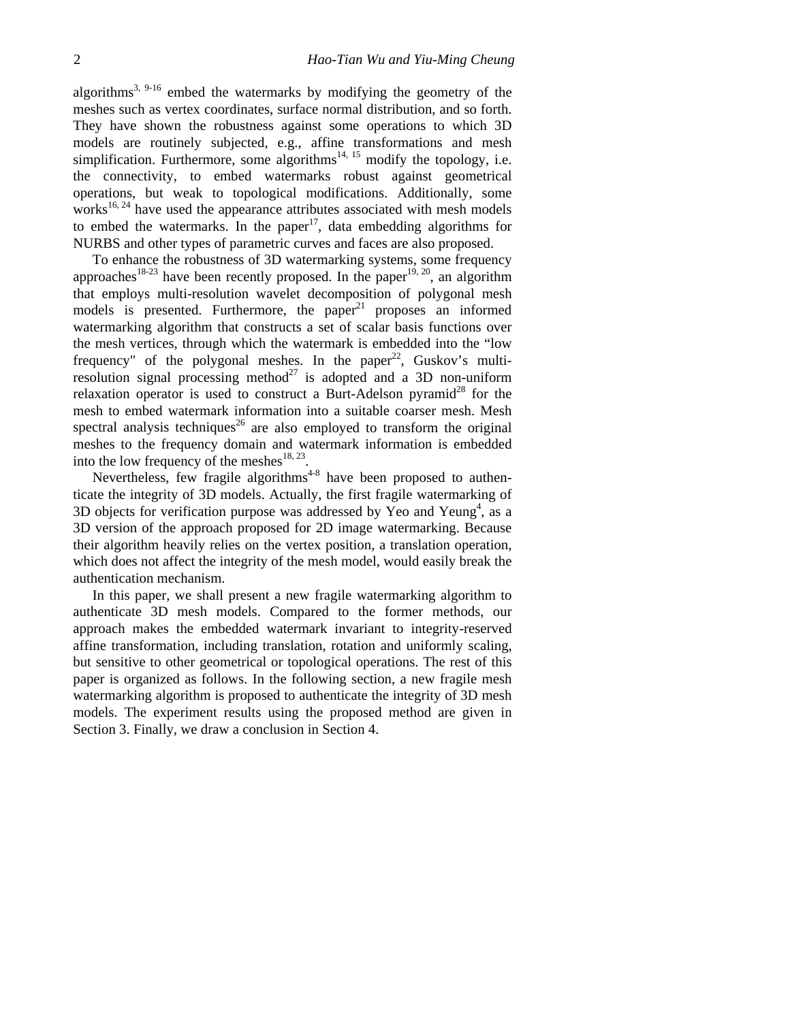algorithms<sup>3, 9-16</sup> embed the watermarks by modifying the geometry of the meshes such as vertex coordinates, surface normal distribution, and so forth. They have shown the robustness against some operations to which 3D models are routinely subjected, e.g., affine transformations and mesh simplification. Furthermore, some algorithms<sup>14, 15</sup> modify the topology, i.e. the connectivity, to embed watermarks robust against geometrical operations, but weak to topological modifications. Additionally, some works<sup>16, 24</sup> have used the appearance attributes associated with mesh models to embed the watermarks. In the paper<sup>17</sup>, data embedding algorithms for NURBS and other types of parametric curves and faces are also proposed.

To enhance the robustness of 3D watermarking systems, some frequency approaches<sup>18-23</sup> have been recently proposed. In the paper<sup>19, 20</sup>, an algorithm that employs multi-resolution wavelet decomposition of polygonal mesh models is presented. Furthermore, the paper $^{21}$  proposes an informed watermarking algorithm that constructs a set of scalar basis functions over the mesh vertices, through which the watermark is embedded into the "low frequency" of the polygonal meshes. In the paper<sup>22</sup>, Guskov's multiresolution signal processing method<sup>27</sup> is adopted and a 3D non-uniform relaxation operator is used to construct a Burt-Adelson pyramid<sup>28</sup> for the mesh to embed watermark information into a suitable coarser mesh. Mesh spectral analysis techniques<sup>26</sup> are also employed to transform the original meshes to the frequency domain and watermark information is embedded into the low frequency of the meshes $^{18, 23}$ .

Nevertheless, few fragile algorithms<sup> $4-8$ </sup> have been proposed to authenticate the integrity of 3D models. Actually, the first fragile watermarking of 3D objects for verification purpose was addressed by Yeo and Yeung<sup>4</sup>, as a 3D version of the approach proposed for 2D image watermarking. Because their algorithm heavily relies on the vertex position, a translation operation, which does not affect the integrity of the mesh model, would easily break the authentication mechanism.

In this paper, we shall present a new fragile watermarking algorithm to authenticate 3D mesh models. Compared to the former methods, our approach makes the embedded watermark invariant to integrity-reserved affine transformation, including translation, rotation and uniformly scaling, but sensitive to other geometrical or topological operations. The rest of this paper is organized as follows. In the following section, a new fragile mesh watermarking algorithm is proposed to authenticate the integrity of 3D mesh models. The experiment results using the proposed method are given in Section 3. Finally, we draw a conclusion in Section 4.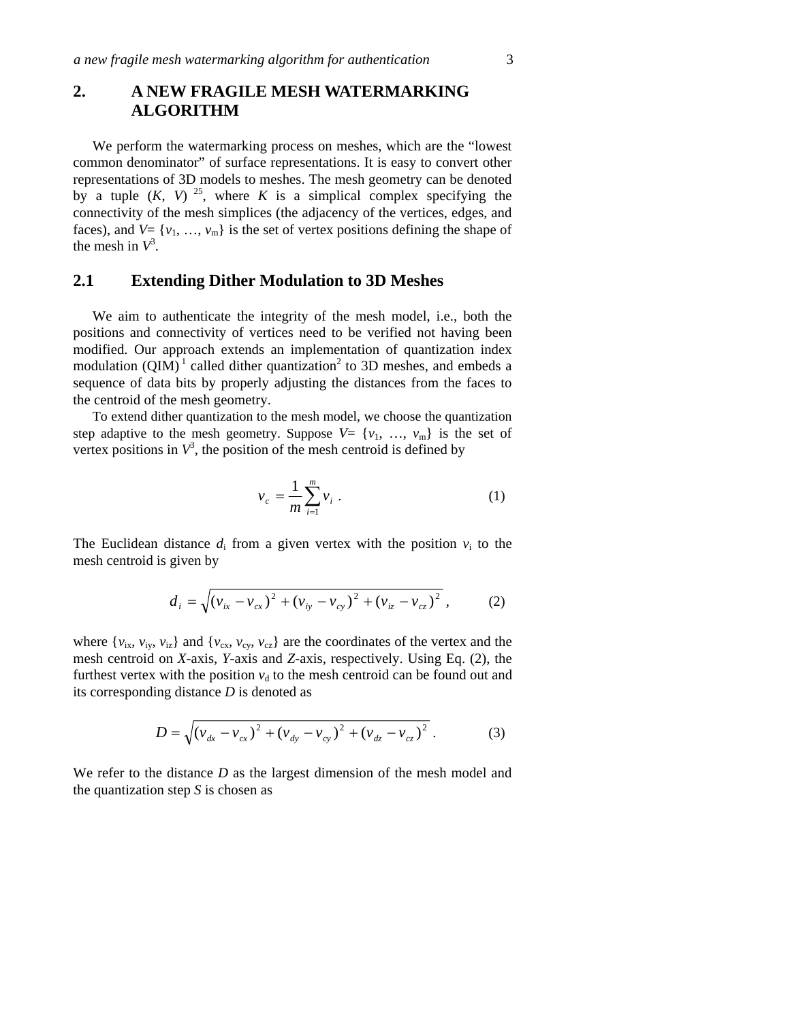# **2. A NEW FRAGILE MESH WATERMARKING ALGORITHM**

We perform the watermarking process on meshes, which are the "lowest common denominator" of surface representations. It is easy to convert other representations of 3D models to meshes. The mesh geometry can be denoted by a tuple  $(K, V)^{25}$ , where *K* is a simplical complex specifying the connectivity of the mesh simplices (the adjacency of the vertices, edges, and faces), and  $V = \{v_1, \ldots, v_m\}$  is the set of vertex positions defining the shape of the mesh in  $V^3$ .

#### **2.1 Extending Dither Modulation to 3D Meshes**

We aim to authenticate the integrity of the mesh model, i.e., both the positions and connectivity of vertices need to be verified not having been modified. Our approach extends an implementation of quantization index modulation  $(QIM)^1$  called dither quantization<sup>2</sup> to 3D meshes, and embeds a sequence of data bits by properly adjusting the distances from the faces to the centroid of the mesh geometry.

To extend dither quantization to the mesh model, we choose the quantization step adaptive to the mesh geometry. Suppose  $V = \{v_1, ..., v_m\}$  is the set of vertex positions in  $V^3$ , the position of the mesh centroid is defined by

$$
v_c = \frac{1}{m} \sum_{i=1}^{m} v_i \tag{1}
$$

The Euclidean distance  $d_i$  from a given vertex with the position  $v_i$  to the mesh centroid is given by

$$
d_i = \sqrt{(v_{ix} - v_{cx})^2 + (v_{iy} - v_{cy})^2 + (v_{iz} - v_{cz})^2},
$$
 (2)

where  $\{v_{ix}, v_{iy}, v_{iz}\}$  and  $\{v_{cx}, v_{cy}, v_{cz}\}$  are the coordinates of the vertex and the mesh centroid on *X*-axis, *Y*-axis and *Z*-axis, respectively. Using Eq. (2), the furthest vertex with the position  $v_d$  to the mesh centroid can be found out and its corresponding distance *D* is denoted as

$$
D = \sqrt{(v_{dx} - v_{cx})^2 + (v_{dy} - v_{cy})^2 + (v_{dz} - v_{cz})^2}.
$$
 (3)

We refer to the distance *D* as the largest dimension of the mesh model and the quantization step *S* is chosen as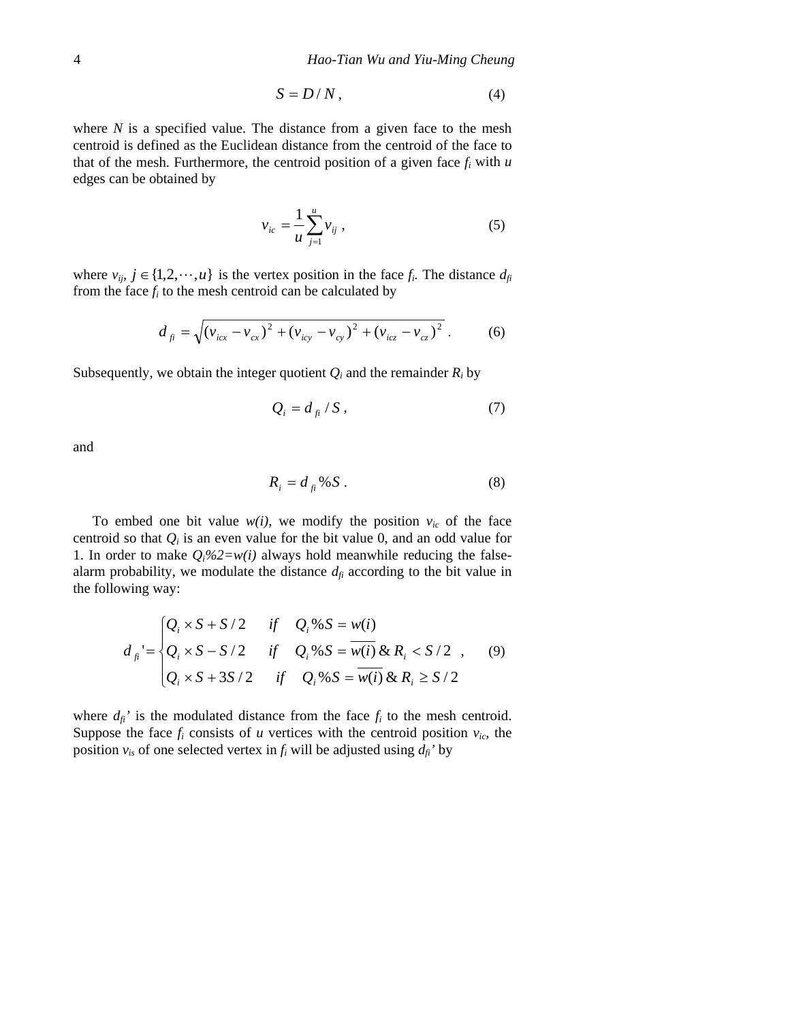$$
S = D/N, \tag{4}
$$

where *N* is a specified value. The distance from a given face to the mesh centroid is defined as the Euclidean distance from the centroid of the face to that of the mesh. Furthermore, the centroid position of a given face  $f_i$  with  $u$ edges can be obtained by

$$
v_{ic} = \frac{1}{u} \sum_{j=1}^{u} v_{ij} , \qquad (5)
$$

where  $v_{ij}$ ,  $j \in \{1,2,\dots,u\}$  is the vertex position in the face  $f_i$ . The distance  $d_{fi}$ from the face  $f_i$  to the mesh centroid can be calculated by

$$
d_{f_i} = \sqrt{(v_{icx} - v_{cx})^2 + (v_{icy} - v_{cy})^2 + (v_{icz} - v_{cz})^2}.
$$
 (6)

Subsequently, we obtain the integer quotient  $Q_i$  and the remainder  $R_i$  by

$$
Q_i = d_{fi} / S , \qquad (7)
$$

and

$$
R_i = d_{fi} \% S . \tag{8}
$$

To embed one bit value  $w(i)$ , we modify the position  $v_{ic}$  of the face centroid so that  $Q_i$  is an even value for the bit value 0, and an odd value for 1. In order to make  $Q_i\%2 = w(i)$  always hold meanwhile reducing the falsealarm probability, we modulate the distance  $d_f$  according to the bit value in the following way:

$$
d_{fi} = \begin{cases} Q_i \times S + S/2 & \text{if } Q_i \% S = w(i) \\ Q_i \times S - S/2 & \text{if } Q_i \% S = \overline{w(i)} \& R_i < S/2 \\ Q_i \times S + 3S/2 & \text{if } Q_i \% S = \overline{w(i)} \& R_i \ge S/2 \end{cases} \tag{9}
$$

where  $d_{fi}$  is the modulated distance from the face  $f_i$  to the mesh centroid. Suppose the face  $f_i$  consists of  $u$  vertices with the centroid position  $v_{ic}$ , the position  $v_{is}$  of one selected vertex in  $f_i$  will be adjusted using  $d_f$  by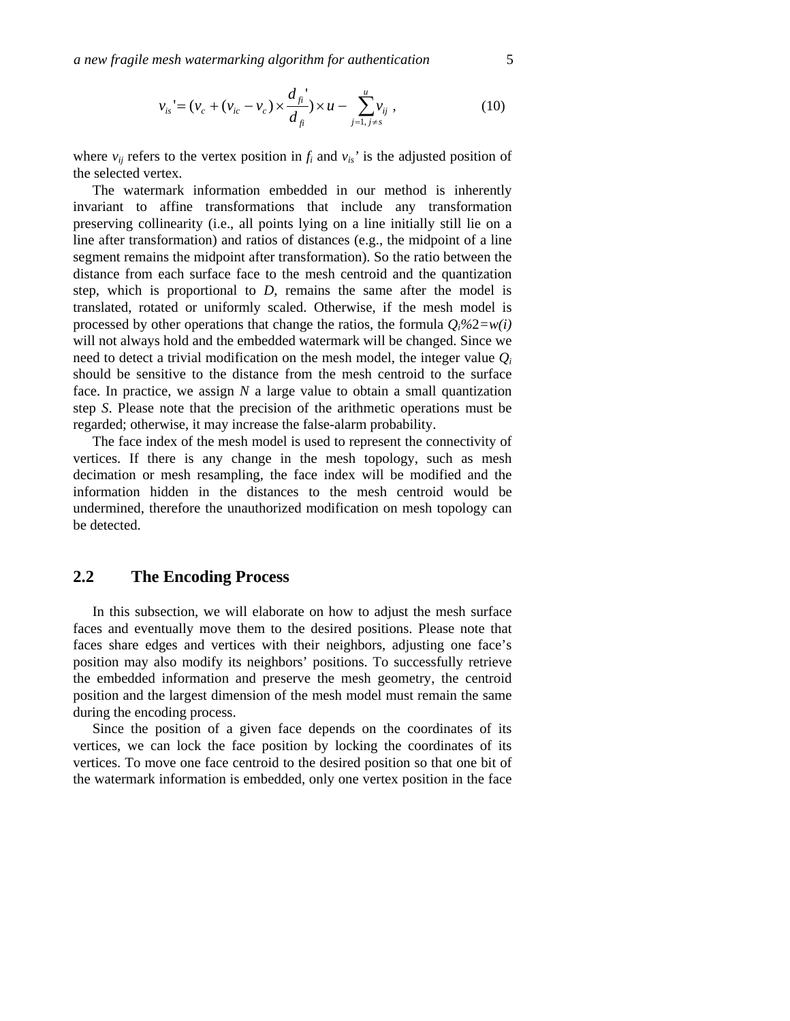$$
v_{is} = (v_c + (v_{ic} - v_c) \times \frac{d_{fi}}{d_{fi}}) \times u - \sum_{j=1, j \neq s}^{u} v_{ij},
$$
 (10)

where  $v_{ii}$  refers to the vertex position in  $f_i$  and  $v_{is}$  is the adjusted position of the selected vertex.

The watermark information embedded in our method is inherently invariant to affine transformations that include any transformation preserving collinearity (i.e., all points lying on a line initially still lie on a line after transformation) and ratios of distances (e.g., the midpoint of a line segment remains the midpoint after transformation). So the ratio between the distance from each surface face to the mesh centroid and the quantization step, which is proportional to  $D$ , remains the same after the model is translated, rotated or uniformly scaled. Otherwise, if the mesh model is processed by other operations that change the ratios, the formula  $Q_i\%2 = w(i)$ will not always hold and the embedded watermark will be changed. Since we need to detect a trivial modification on the mesh model, the integer value *Qi* should be sensitive to the distance from the mesh centroid to the surface face. In practice, we assign *N* a large value to obtain a small quantization step *S*. Please note that the precision of the arithmetic operations must be regarded; otherwise, it may increase the false-alarm probability.

The face index of the mesh model is used to represent the connectivity of vertices. If there is any change in the mesh topology, such as mesh decimation or mesh resampling, the face index will be modified and the information hidden in the distances to the mesh centroid would be undermined, therefore the unauthorized modification on mesh topology can be detected.

### **2.2 The Encoding Process**

In this subsection, we will elaborate on how to adjust the mesh surface faces and eventually move them to the desired positions. Please note that faces share edges and vertices with their neighbors, adjusting one face's position may also modify its neighbors' positions. To successfully retrieve the embedded information and preserve the mesh geometry, the centroid position and the largest dimension of the mesh model must remain the same during the encoding process.

Since the position of a given face depends on the coordinates of its vertices, we can lock the face position by locking the coordinates of its vertices. To move one face centroid to the desired position so that one bit of the watermark information is embedded, only one vertex position in the face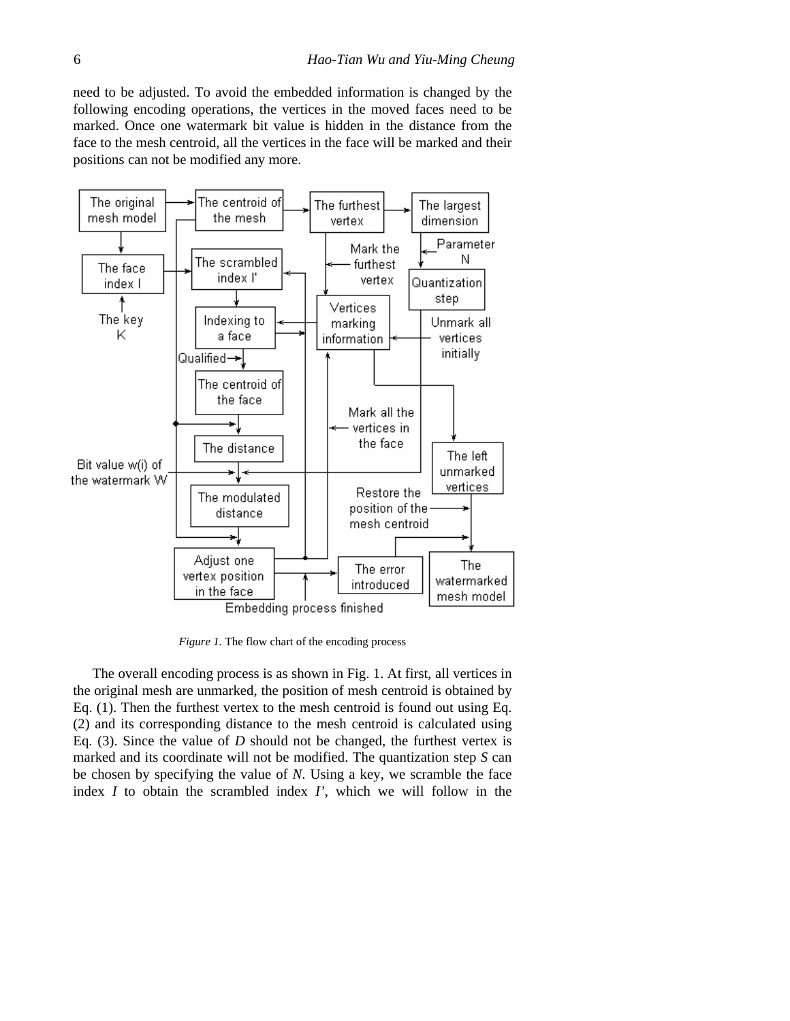need to be adjusted. To avoid the embedded information is changed by the following encoding operations, the vertices in the moved faces need to be marked. Once one watermark bit value is hidden in the distance from the face to the mesh centroid, all the vertices in the face will be marked and their positions can not be modified any more.



*Figure 1.* The flow chart of the encoding process

The overall encoding process is as shown in Fig. 1. At first, all vertices in the original mesh are unmarked, the position of mesh centroid is obtained by Eq. (1). Then the furthest vertex to the mesh centroid is found out using Eq. (2) and its corresponding distance to the mesh centroid is calculated using Eq. (3). Since the value of *D* should not be changed, the furthest vertex is marked and its coordinate will not be modified. The quantization step *S* can be chosen by specifying the value of *N*. Using a key, we scramble the face index *I* to obtain the scrambled index *I'*, which we will follow in the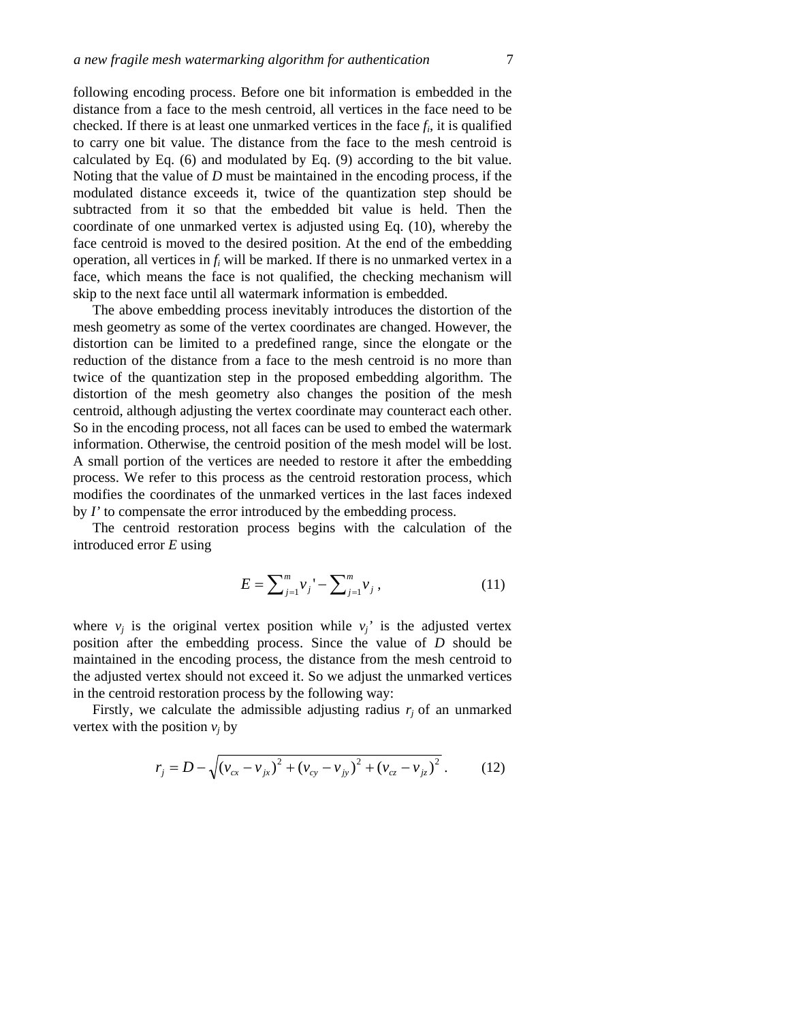following encoding process. Before one bit information is embedded in the distance from a face to the mesh centroid, all vertices in the face need to be checked. If there is at least one unmarked vertices in the face *fi*, it is qualified to carry one bit value. The distance from the face to the mesh centroid is calculated by Eq. (6) and modulated by Eq. (9) according to the bit value. Noting that the value of *D* must be maintained in the encoding process, if the modulated distance exceeds it, twice of the quantization step should be subtracted from it so that the embedded bit value is held. Then the coordinate of one unmarked vertex is adjusted using Eq. (10), whereby the face centroid is moved to the desired position. At the end of the embedding operation, all vertices in *fi* will be marked. If there is no unmarked vertex in a face, which means the face is not qualified, the checking mechanism will skip to the next face until all watermark information is embedded.

The above embedding process inevitably introduces the distortion of the mesh geometry as some of the vertex coordinates are changed. However, the distortion can be limited to a predefined range, since the elongate or the reduction of the distance from a face to the mesh centroid is no more than twice of the quantization step in the proposed embedding algorithm. The distortion of the mesh geometry also changes the position of the mesh centroid, although adjusting the vertex coordinate may counteract each other. So in the encoding process, not all faces can be used to embed the watermark information. Otherwise, the centroid position of the mesh model will be lost. A small portion of the vertices are needed to restore it after the embedding process. We refer to this process as the centroid restoration process, which modifies the coordinates of the unmarked vertices in the last faces indexed by *I'* to compensate the error introduced by the embedding process.

The centroid restoration process begins with the calculation of the introduced error *E* using

$$
E = \sum_{j=1}^{m} \nu_j' - \sum_{j=1}^{m} \nu_j,
$$
 (11)

where  $v_i$  is the original vertex position while  $v_i$  is the adjusted vertex position after the embedding process. Since the value of *D* should be maintained in the encoding process, the distance from the mesh centroid to the adjusted vertex should not exceed it. So we adjust the unmarked vertices in the centroid restoration process by the following way:

Firstly, we calculate the admissible adjusting radius  $r_i$  of an unmarked vertex with the position  $v_i$  by

$$
r_{j} = D - \sqrt{(v_{cx} - v_{jx})^{2} + (v_{cy} - v_{jy})^{2} + (v_{cz} - v_{jz})^{2}}.
$$
 (12)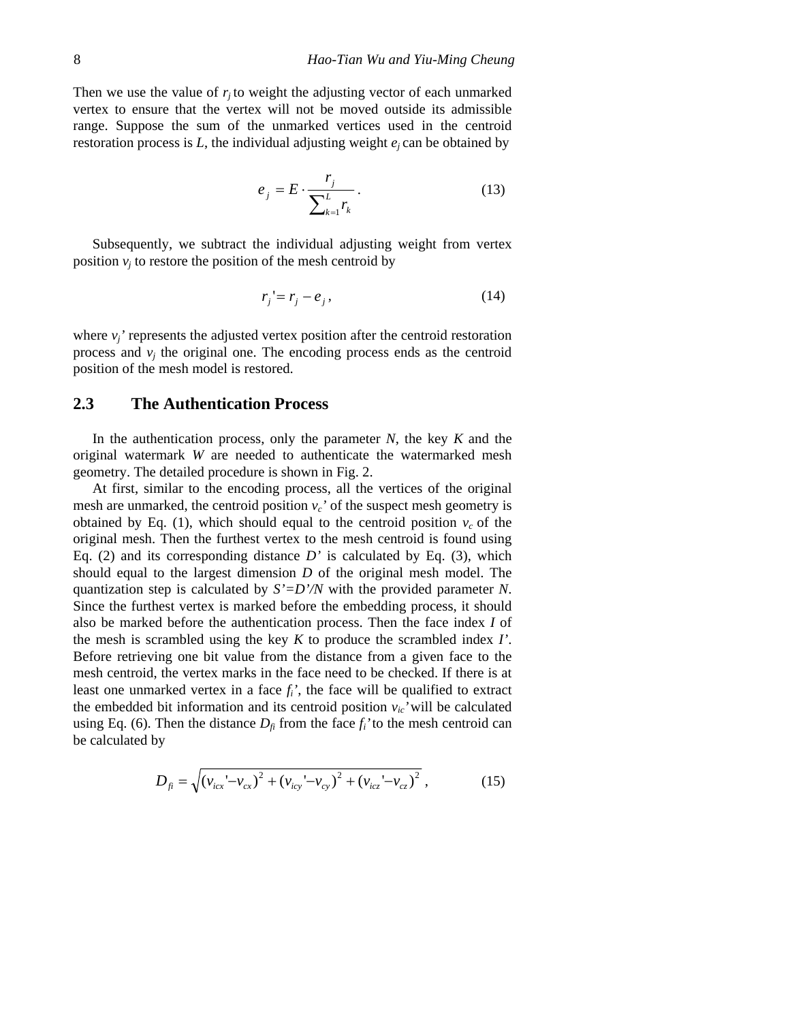Then we use the value of  $r_i$  to weight the adjusting vector of each unmarked vertex to ensure that the vertex will not be moved outside its admissible range. Suppose the sum of the unmarked vertices used in the centroid restoration process is *L*, the individual adjusting weight *ej* can be obtained by

$$
e_j = E \cdot \frac{r_j}{\sum_{k=1}^L r_k} \,. \tag{13}
$$

Subsequently, we subtract the individual adjusting weight from vertex position  $v_i$  to restore the position of the mesh centroid by

$$
r_j' = r_j - e_j,\tag{14}
$$

where  $v_i$ ' represents the adjusted vertex position after the centroid restoration process and  $v_i$  the original one. The encoding process ends as the centroid position of the mesh model is restored.

#### **2.3 The Authentication Process**

In the authentication process, only the parameter *N*, the key *K* and the original watermark *W* are needed to authenticate the watermarked mesh geometry. The detailed procedure is shown in Fig. 2.

At first, similar to the encoding process, all the vertices of the original mesh are unmarked, the centroid position  $v_c$  of the suspect mesh geometry is obtained by Eq. (1), which should equal to the centroid position  $v_c$  of the original mesh. Then the furthest vertex to the mesh centroid is found using Eq. (2) and its corresponding distance  $D'$  is calculated by Eq. (3), which should equal to the largest dimension *D* of the original mesh model. The quantization step is calculated by *S'=D'/N* with the provided parameter *N*. Since the furthest vertex is marked before the embedding process, it should also be marked before the authentication process. Then the face index *I* of the mesh is scrambled using the key *K* to produce the scrambled index *I'*. Before retrieving one bit value from the distance from a given face to the mesh centroid, the vertex marks in the face need to be checked. If there is at least one unmarked vertex in a face *fi'*, the face will be qualified to extract the embedded bit information and its centroid position *vic'*will be calculated using Eq. (6). Then the distance  $D_f$  from the face  $f_i$ ' to the mesh centroid can be calculated by

$$
D_{f_i} = \sqrt{(v_{icx} - v_{cx})^2 + (v_{icy} - v_{cy})^2 + (v_{icz} - v_{cz})^2},
$$
 (15)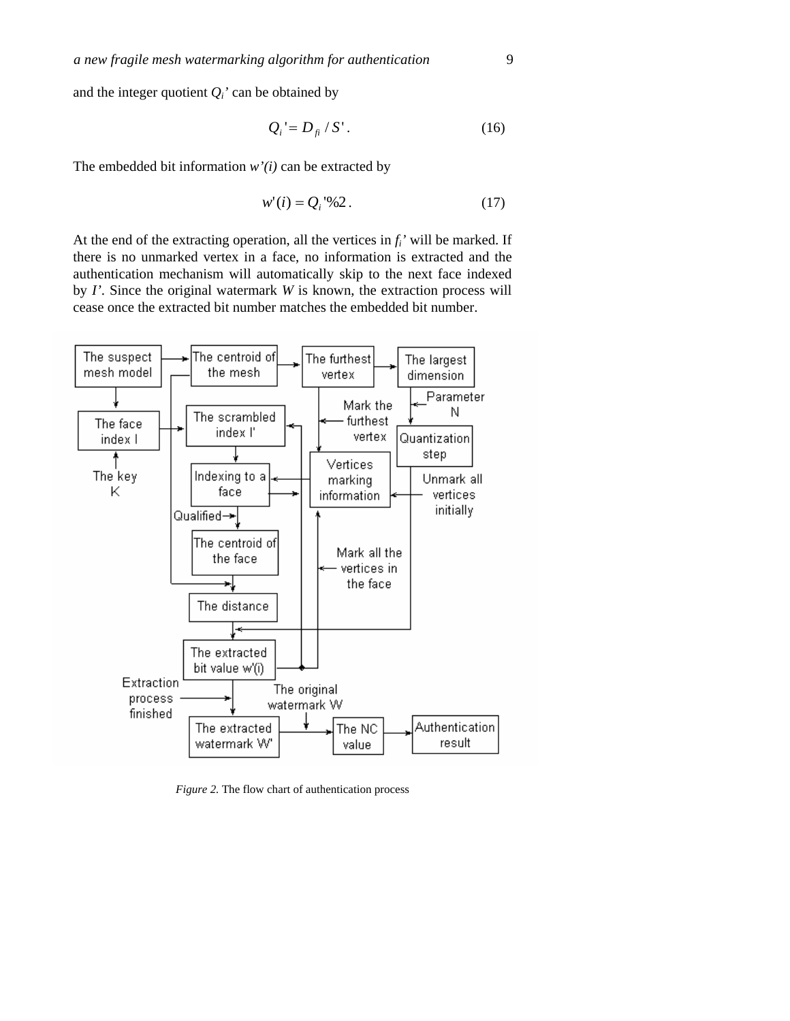and the integer quotient  $Q_i$ ' can be obtained by

$$
Q_i = D_{fi} / S'. \tag{16}
$$

The embedded bit information *w'(i)* can be extracted by

$$
w'(i) = Q_i \, \text{``\%2}. \tag{17}
$$

At the end of the extracting operation, all the vertices in *fi'* will be marked. If there is no unmarked vertex in a face, no information is extracted and the authentication mechanism will automatically skip to the next face indexed by *I'*. Since the original watermark *W* is known, the extraction process will cease once the extracted bit number matches the embedded bit number.



*Figure 2.* The flow chart of authentication process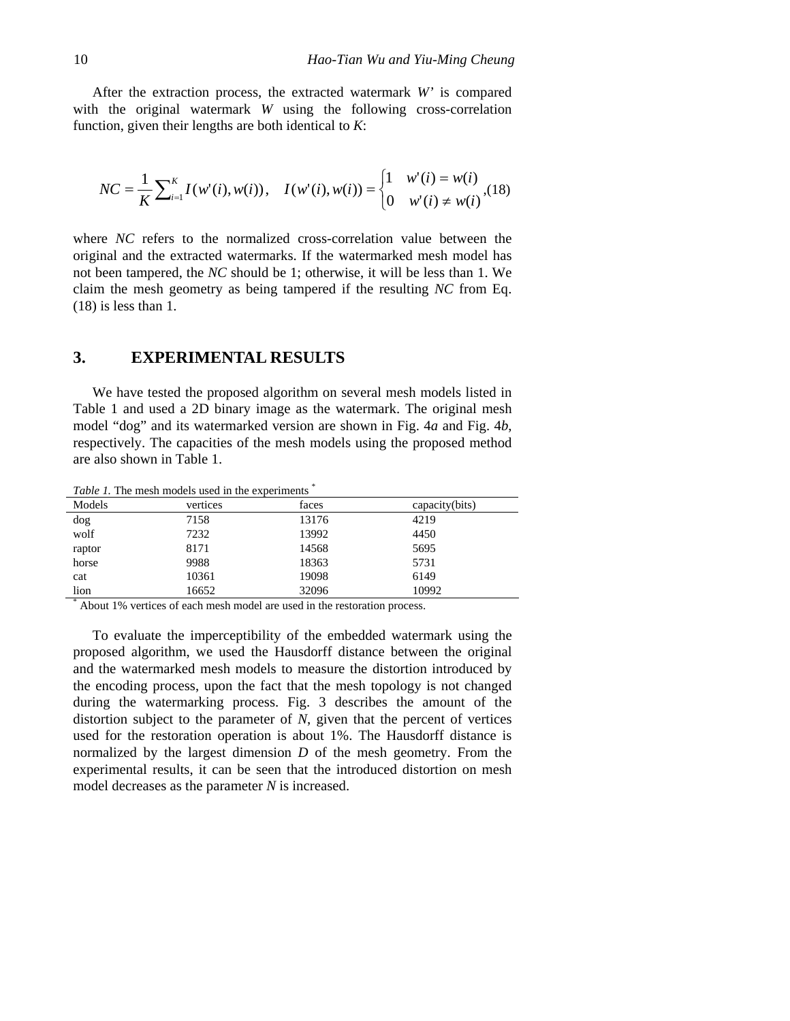After the extraction process, the extracted watermark *W'* is compared with the original watermark *W* using the following cross-correlation function, given their lengths are both identical to *K*:

$$
NC = \frac{1}{K} \sum_{i=1}^{K} I(w'(i), w(i)), \quad I(w'(i), w(i)) = \begin{cases} 1 & w'(i) = w(i) \\ 0 & w'(i) \neq w(i) \end{cases}, (18)
$$

where *NC* refers to the normalized cross-correlation value between the original and the extracted watermarks. If the watermarked mesh model has not been tampered, the *NC* should be 1; otherwise, it will be less than 1. We claim the mesh geometry as being tampered if the resulting *NC* from Eq. (18) is less than 1.

### **3. EXPERIMENTAL RESULTS**

We have tested the proposed algorithm on several mesh models listed in Table 1 and used a 2D binary image as the watermark. The original mesh model "dog" and its watermarked version are shown in Fig. 4*a* and Fig. 4*b*, respectively. The capacities of the mesh models using the proposed method are also shown in Table 1.

*Table 1*. The mesh models used in the experiments  $*$ 

| Models | vertices                                                                  | faces | capacity(bits) |  |  |
|--------|---------------------------------------------------------------------------|-------|----------------|--|--|
| dog    | 7158                                                                      | 13176 | 4219           |  |  |
| wolf   | 7232                                                                      | 13992 | 4450           |  |  |
| raptor | 8171                                                                      | 14568 | 5695           |  |  |
| horse  | 9988                                                                      | 18363 | 5731           |  |  |
| cat    | 10361                                                                     | 19098 | 6149           |  |  |
| lion   | 16652                                                                     | 32096 | 10992          |  |  |
|        | About 10/ workings of sook mask model are used in the restauction process |       |                |  |  |

About 1% vertices of each mesh model are used in the restoration process.

To evaluate the imperceptibility of the embedded watermark using the proposed algorithm, we used the Hausdorff distance between the original and the watermarked mesh models to measure the distortion introduced by the encoding process, upon the fact that the mesh topology is not changed during the watermarking process. Fig. 3 describes the amount of the distortion subject to the parameter of *N*, given that the percent of vertices used for the restoration operation is about 1%. The Hausdorff distance is normalized by the largest dimension *D* of the mesh geometry. From the experimental results, it can be seen that the introduced distortion on mesh model decreases as the parameter *N* is increased.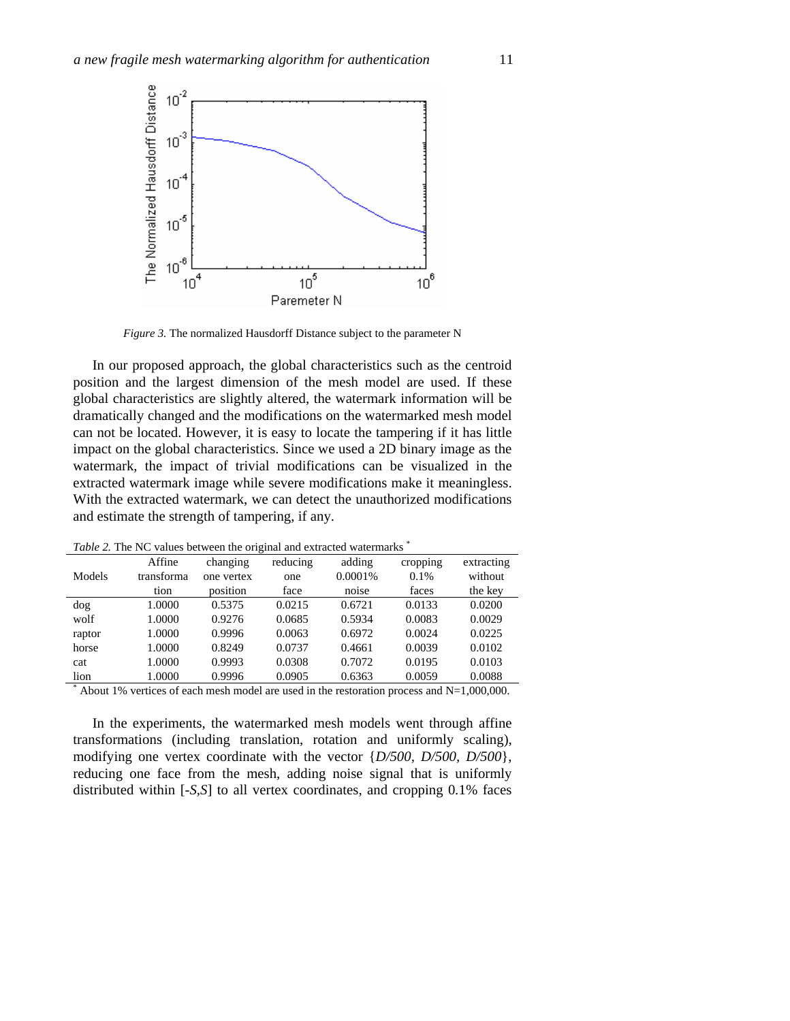

*Figure 3.* The normalized Hausdorff Distance subject to the parameter N

In our proposed approach, the global characteristics such as the centroid position and the largest dimension of the mesh model are used. If these global characteristics are slightly altered, the watermark information will be dramatically changed and the modifications on the watermarked mesh model can not be located. However, it is easy to locate the tampering if it has little impact on the global characteristics. Since we used a 2D binary image as the watermark, the impact of trivial modifications can be visualized in the extracted watermark image while severe modifications make it meaningless. With the extracted watermark, we can detect the unauthorized modifications and estimate the strength of tampering, if any.

| Twic 2. The FC values between the original and extracted watermarks                          |            |            |          |         |          |            |  |  |
|----------------------------------------------------------------------------------------------|------------|------------|----------|---------|----------|------------|--|--|
|                                                                                              | Affine     | changing   | reducing | adding  | cropping | extracting |  |  |
| Models                                                                                       | transforma | one vertex | one      | 0.0001% | $0.1\%$  | without    |  |  |
|                                                                                              | tion       | position   | face     | noise   | faces    | the key    |  |  |
| dog                                                                                          | 1.0000     | 0.5375     | 0.0215   | 0.6721  | 0.0133   | 0.0200     |  |  |
| wolf                                                                                         | 1.0000     | 0.9276     | 0.0685   | 0.5934  | 0.0083   | 0.0029     |  |  |
| raptor                                                                                       | 1.0000     | 0.9996     | 0.0063   | 0.6972  | 0.0024   | 0.0225     |  |  |
| horse                                                                                        | 1.0000     | 0.8249     | 0.0737   | 0.4661  | 0.0039   | 0.0102     |  |  |
| cat                                                                                          | 1.0000     | 0.9993     | 0.0308   | 0.7072  | 0.0195   | 0.0103     |  |  |
| lion                                                                                         | 1.0000     | 0.9996     | 0.0905   | 0.6363  | 0.0059   | 0.0088     |  |  |
| About 1% vertices of each mesh model are used in the restoration process and $N=1,000,000$ . |            |            |          |         |          |            |  |  |

*Table 2.* The NC values between the original and extracted watermarks \*

In the experiments, the watermarked mesh models went through affine transformations (including translation, rotation and uniformly scaling), modifying one vertex coordinate with the vector {*D/500, D/500, D/500*}, reducing one face from the mesh, adding noise signal that is uniformly distributed within [*-S,S*] to all vertex coordinates, and cropping 0*.*1% faces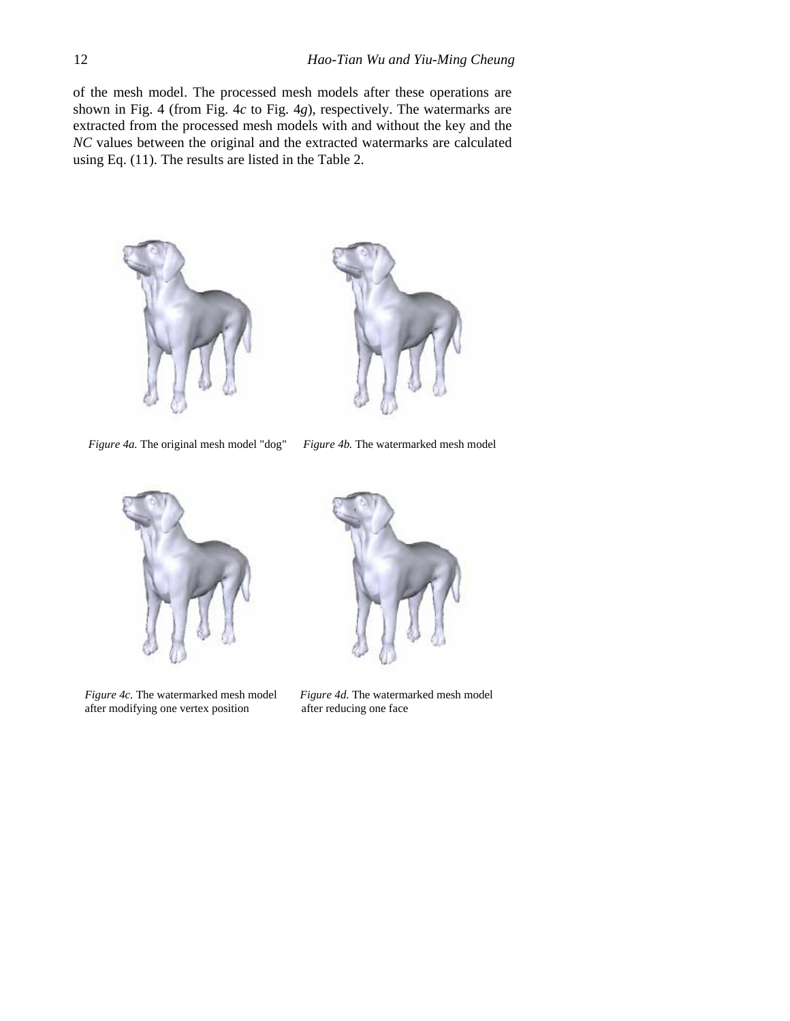of the mesh model. The processed mesh models after these operations are shown in Fig. 4 (from Fig. 4*c* to Fig. 4*g*), respectively. The watermarks are extracted from the processed mesh models with and without the key and the *NC* values between the original and the extracted watermarks are calculated using Eq. (11). The results are listed in the Table 2.









 *Figure 4c.* The watermarked mesh model *Figure 4d.* The watermarked mesh model after modifying one vertex position after reducing one face

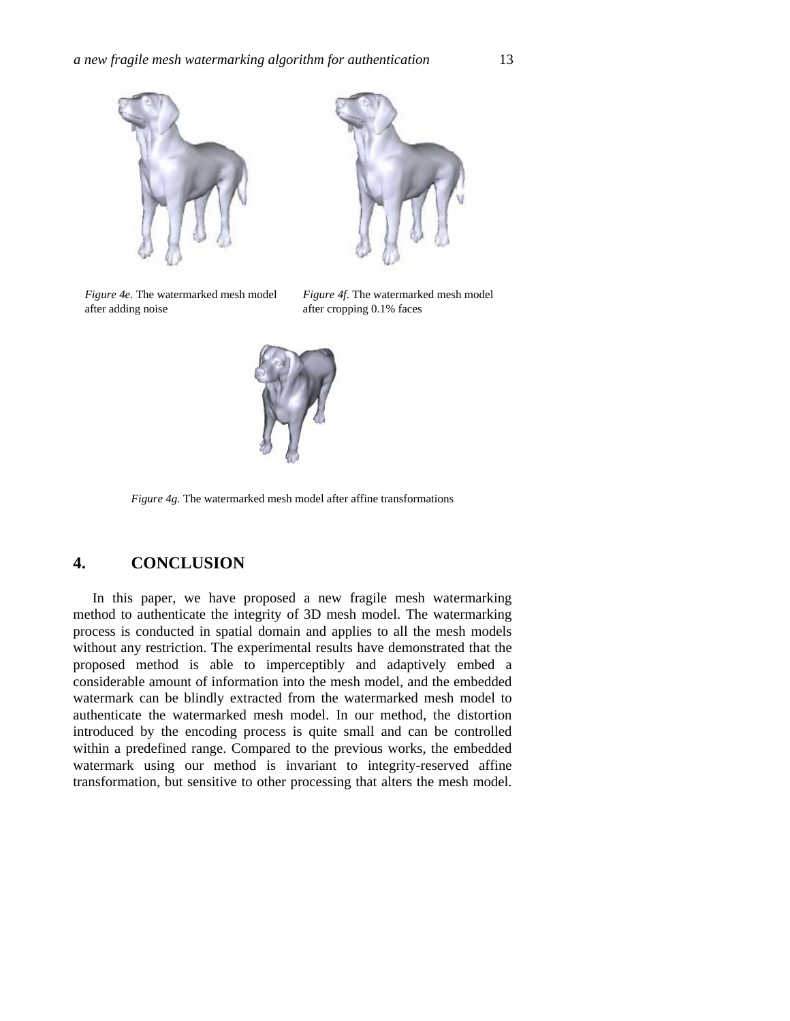



after adding noise after cropping 0.1% faces

 *Figure 4e.* The watermarked mesh model *Figure 4f.* The watermarked mesh model



*Figure 4g.* The watermarked mesh model after affine transformations

### **4. CONCLUSION**

In this paper, we have proposed a new fragile mesh watermarking method to authenticate the integrity of 3D mesh model. The watermarking process is conducted in spatial domain and applies to all the mesh models without any restriction. The experimental results have demonstrated that the proposed method is able to imperceptibly and adaptively embed a considerable amount of information into the mesh model, and the embedded watermark can be blindly extracted from the watermarked mesh model to authenticate the watermarked mesh model. In our method, the distortion introduced by the encoding process is quite small and can be controlled within a predefined range. Compared to the previous works, the embedded watermark using our method is invariant to integrity-reserved affine transformation, but sensitive to other processing that alters the mesh model.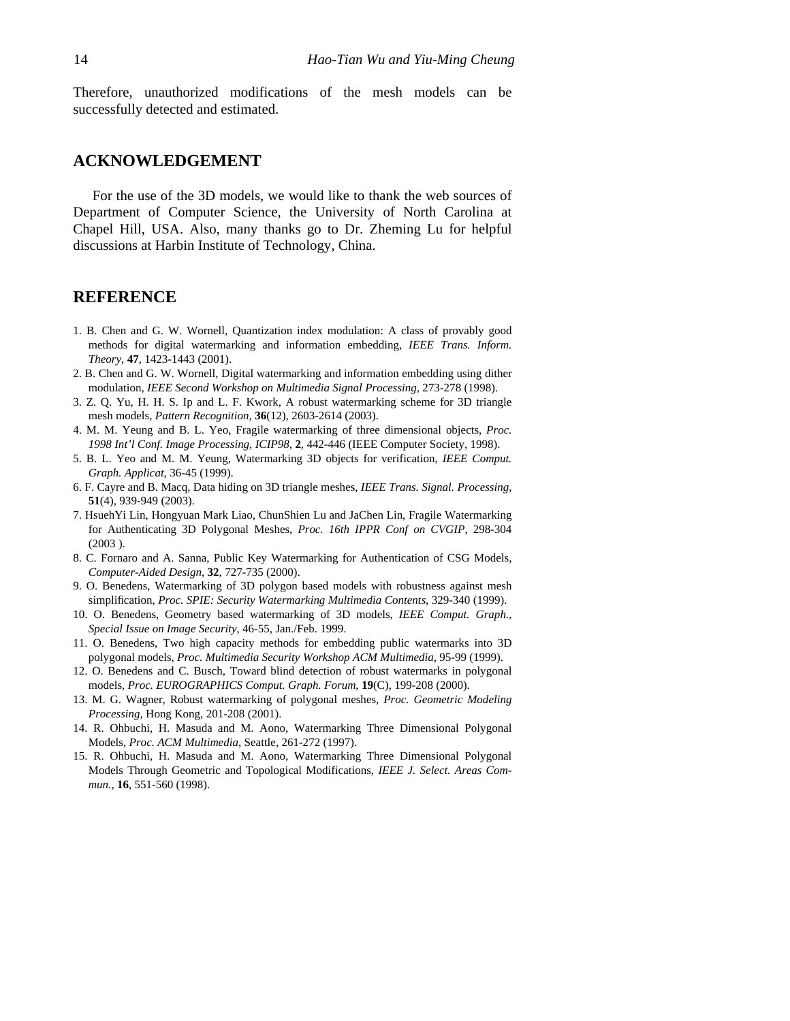Therefore, unauthorized modifications of the mesh models can be successfully detected and estimated.

#### **ACKNOWLEDGEMENT**

For the use of the 3D models, we would like to thank the web sources of Department of Computer Science, the University of North Carolina at Chapel Hill, USA. Also, many thanks go to Dr. Zheming Lu for helpful discussions at Harbin Institute of Technology, China.

#### **REFERENCE**

- 1. B. Chen and G. W. Wornell, Quantization index modulation: A class of provably good methods for digital watermarking and information embedding, *IEEE Trans. Inform. Theory*, **47**, 1423-1443 (2001).
- 2. B. Chen and G. W. Wornell, Digital watermarking and information embedding using dither modulation, *IEEE Second Workshop on Multimedia Signal Processing*, 273-278 (1998).
- 3. Z. Q. Yu, H. H. S. Ip and L. F. Kwork, A robust watermarking scheme for 3D triangle mesh models, *Pattern Recognition*, **36**(12), 2603-2614 (2003).
- 4. M. M. Yeung and B. L. Yeo, Fragile watermarking of three dimensional objects, *Proc. 1998 Int'l Conf. Image Processing, ICIP98*, **2**, 442-446 (IEEE Computer Society, 1998).
- 5. B. L. Yeo and M. M. Yeung, Watermarking 3D objects for verification, *IEEE Comput. Graph. Applicat*, 36-45 (1999).
- 6. F. Cayre and B. Macq, Data hiding on 3D triangle meshes, *IEEE Trans. Signal. Processing*, **51**(4), 939-949 (2003).
- 7. HsuehYi Lin, Hongyuan Mark Liao, ChunShien Lu and JaChen Lin, Fragile Watermarking for Authenticating 3D Polygonal Meshes, *Proc. 16th IPPR Conf on CVGIP*, 298-304 (2003 ).
- 8. C. Fornaro and A. Sanna, Public Key Watermarking for Authentication of CSG Models, *Computer-Aided Design*, **32**, 727-735 (2000).
- 9. O. Benedens, Watermarking of 3D polygon based models with robustness against mesh simplification, *Proc. SPIE: Security Watermarking Multimedia Contents*, 329-340 (1999).
- 10. O. Benedens, Geometry based watermarking of 3D models, *IEEE Comput. Graph., Special Issue on Image Security*, 46-55, Jan./Feb. 1999.
- 11. O. Benedens, Two high capacity methods for embedding public watermarks into 3D polygonal models, *Proc. Multimedia Security Workshop ACM Multimedia*, 95-99 (1999).
- 12. O. Benedens and C. Busch, Toward blind detection of robust watermarks in polygonal models, *Proc. EUROGRAPHICS Comput. Graph. Forum*, **19**(C), 199-208 (2000).
- 13. M. G. Wagner, Robust watermarking of polygonal meshes, *Proc. Geometric Modeling Processing*, Hong Kong, 201-208 (2001).
- 14. R. Ohbuchi, H. Masuda and M. Aono, Watermarking Three Dimensional Polygonal Models, *Proc. ACM Multimedia*, Seattle, 261-272 (1997).
- 15. R. Ohbuchi, H. Masuda and M. Aono, Watermarking Three Dimensional Polygonal Models Through Geometric and Topological Modifications, *IEEE J. Select. Areas Commun.*, **16**, 551-560 (1998).